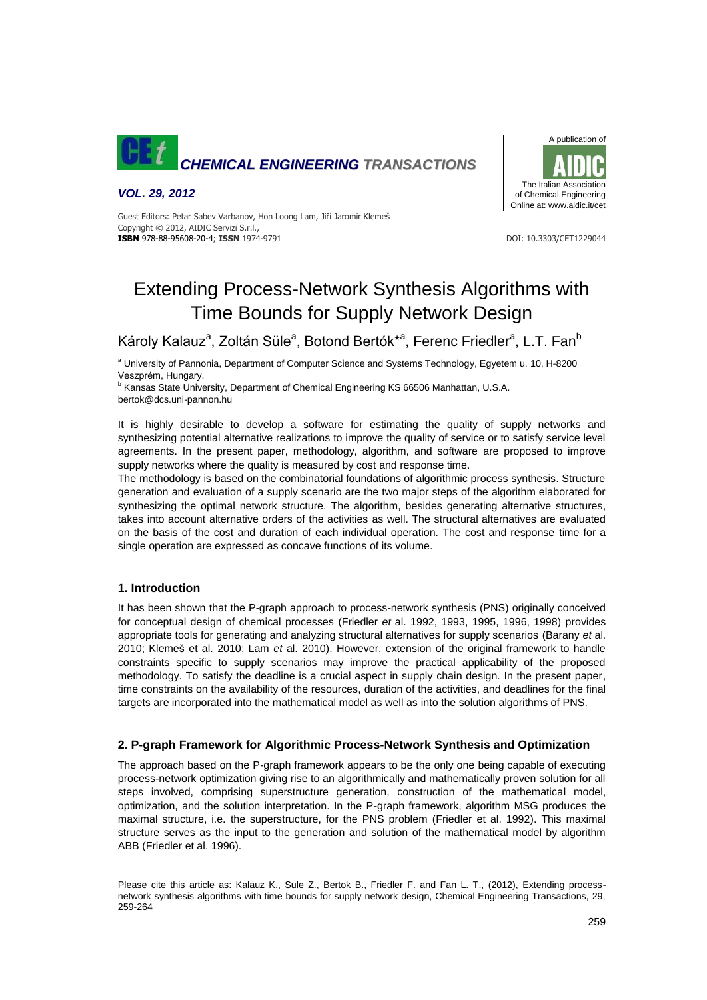

*VOL. 29, 2012*



Guest Editors: Petar Sabev Varbanov, Hon Loong Lam, Jiří Jaromír Klemeš Copyright © 2012, AIDIC Servizi S.r.l., **ISBN** 978-88-95608-20-4; **ISSN** 1974-9791 DOI: 10.3303/CET1229044

# Extending Process-Network Synthesis Algorithms with Time Bounds for Supply Network Design

Károly Kalauz<sup>a</sup>, Zoltán Süle<sup>a</sup>, Botond Bertók\*<sup>a</sup>, Ferenc Friedler<sup>a</sup>, L.T. Fan<sup>b</sup>

<sup>a</sup> University of Pannonia, Department of Computer Science and Systems Technology, Egyetem u. 10, H-8200 Veszprém, Hungary,

<sup>b</sup> Kansas State University, Department of Chemical Engineering KS 66506 Manhattan, U.S.A. bertok@dcs.uni-pannon.hu

It is highly desirable to develop a software for estimating the quality of supply networks and synthesizing potential alternative realizations to improve the quality of service or to satisfy service level agreements. In the present paper, methodology, algorithm, and software are proposed to improve supply networks where the quality is measured by cost and response time.

The methodology is based on the combinatorial foundations of algorithmic process synthesis. Structure generation and evaluation of a supply scenario are the two major steps of the algorithm elaborated for synthesizing the optimal network structure. The algorithm, besides generating alternative structures, takes into account alternative orders of the activities as well. The structural alternatives are evaluated on the basis of the cost and duration of each individual operation. The cost and response time for a single operation are expressed as concave functions of its volume.

# **1. Introduction**

It has been shown that the P-graph approach to process-network synthesis (PNS) originally conceived for conceptual design of chemical processes (Friedler *et* al. 1992, 1993, 1995, 1996, 1998) provides appropriate tools for generating and analyzing structural alternatives for supply scenarios (Barany *et* al. 2010; Klemeš et al. 2010; Lam *et* al. 2010). However, extension of the original framework to handle constraints specific to supply scenarios may improve the practical applicability of the proposed methodology. To satisfy the deadline is a crucial aspect in supply chain design. In the present paper, time constraints on the availability of the resources, duration of the activities, and deadlines for the final targets are incorporated into the mathematical model as well as into the solution algorithms of PNS.

# **2. P-graph Framework for Algorithmic Process-Network Synthesis and Optimization**

The approach based on the P-graph framework appears to be the only one being capable of executing process-network optimization giving rise to an algorithmically and mathematically proven solution for all steps involved, comprising superstructure generation, construction of the mathematical model, optimization, and the solution interpretation. In the P-graph framework, algorithm MSG produces the maximal structure, i.e. the superstructure, for the PNS problem (Friedler et al. 1992). This maximal structure serves as the input to the generation and solution of the mathematical model by algorithm ABB (Friedler et al. 1996).

Please cite this article as: Kalauz K., Sule Z., Bertok B., Friedler F. and Fan L. T., (2012), Extending processnetwork synthesis algorithms with time bounds for supply network design, Chemical Engineering Transactions, 29, 259-264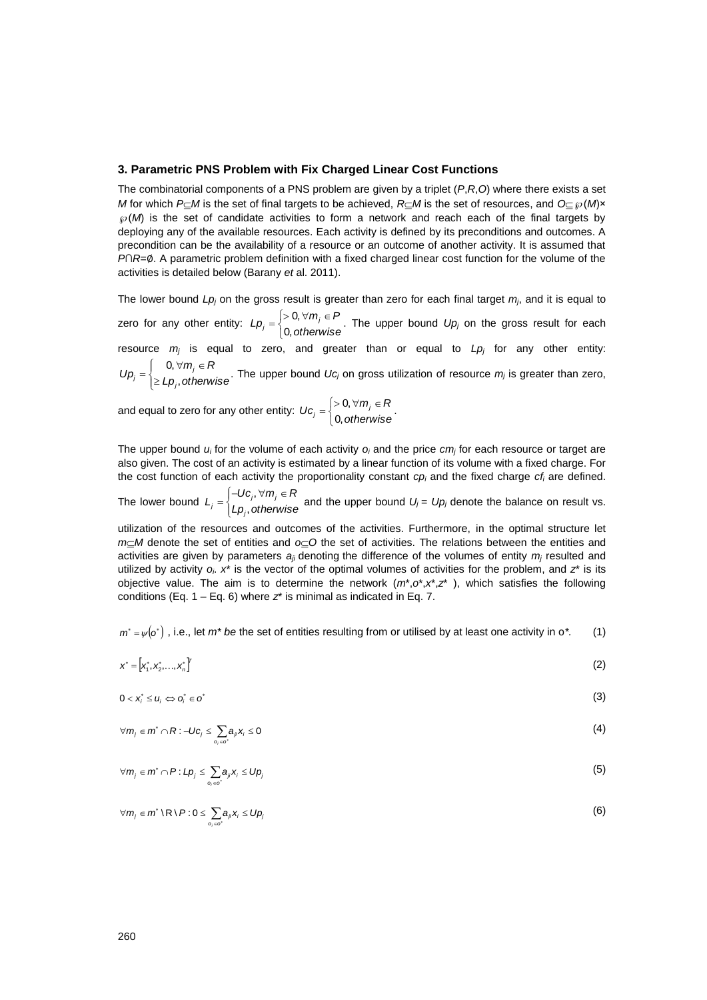#### **3. Parametric PNS Problem with Fix Charged Linear Cost Functions**

The combinatorial components of a PNS problem are given by a triplet (*P*,*R*,*O*) where there exists a set *M* for which *P* $\subset$ *M* is the set of final targets to be achieved, *R* $\subset$ *M* is the set of resources, and *O* $\subset \mathcal{O}(M)$ ×  $\mathcal{P}(M)$  is the set of candidate activities to form a network and reach each of the final targets by deploying any of the available resources. Each activity is defined by its preconditions and outcomes. A precondition can be the availability of a resource or an outcome of another activity. It is assumed that *P*∩*R*=∅. A parametric problem definition with a fixed charged linear cost function for the volume of the activities is detailed below (Barany *et* al. 2011).

The lower bound  $Lp_j$  on the gross result is greater than zero for each final target  $m_j$ , and it is equal to zero for any other entity:  $=\begin{cases} >0, \forall m_j \in P \ 0, \text{otherwise} \end{cases}$  $L p_j = \begin{cases} > 0, \forall m_j \in P \\ 0, \text{otherwise} \end{cases}$  $0, \forall m_j \in P$ . The upper bound  $Up_j$  on the gross result for each

resource *m<sup>j</sup>* is equal to zero, and greater than or equal to *Lp<sup>j</sup>* for any other entity:  $\sqrt{ }$ 

 $\overline{\mathcal{L}}$  $\left\{ \right.$  $\geq$  $=\begin{cases} \begin{array}{c} 0,\forall\,m_j\in R\end{array} \ \end{cases}$  $\geq Lp_i,$  otherwise  $U p_j =\begin{cases} 0, \forall m_j \in R \\ \geq L p_j, \text{otherwise} \end{cases}$  $\mathcal{L}_j = \left\{ \sum_{i=1}^{j} L_i, \text{ot} \right\}$  $0, \forall m_j \in R$ <br> $\ldots$  if  $\epsilon$  on the upper bound *Uc<sub>i</sub>* on gross utilization of resource  $m_j$  is greater than zero,

and equal to zero for any other entity:  $=\begin{cases} >0, \forall m_j \in R\ 0, \text{otherwise} \end{cases}$  $\mathcal{U}c_j = \begin{cases} > 0, \forall m_j \in \mathbb{R} \\ 0, \text{otherwise} \end{cases}$  $0, \forall m_j \in R$ 

*i*

The upper bound *u<sup>i</sup>* for the volume of each activity *o<sup>i</sup>* and the price *cm<sup>j</sup>* for each resource or target are also given. The cost of an activity is estimated by a linear function of its volume with a fixed charge. For the cost function of each activity the proportionality constant *cp<sup>i</sup>* and the fixed charge *cf<sup>i</sup>* are defined.

The lower bound  $L_j = \begin{cases}$  $\left\{ \right.$  $=\begin{cases} -Uc_j, \forall m_j \in R\ Lp_i, otherwise \end{cases}$  $L_j = \begin{cases} -Uc_j, \forall m_j \in R \\ Lp_j, \text{otherwise} \end{cases}$  $j = \begin{cases} -66j, & \text{if } j \leq j \ Lp_j, & \text{otherwise} \end{cases}$  $a, \forall m_j \in R$ <br>set and the upper bound  $U_j = U p_j$  denote the balance on result vs.

utilization of the resources and outcomes of the activities. Furthermore, in the optimal structure let  $m<sub>th</sub>$ *M* denote the set of entities and  $o<sub>th</sub>$ *O* the set of activities. The relations between the entities and activities are given by parameters *aji* denoting the difference of the volumes of entity *m<sup>j</sup>* resulted and utilized by activity  $o_i$ .  $x^*$  is the vector of the optimal volumes of activities for the problem, and  $z^*$  is its objective value. The aim is to determine the network (*m*\*,*o*\*,*x*\*,*z*\* ), which satisfies the following conditions (Eq. 1 – Eq. 6) where *z*\* is minimal as indicated in Eq. 7.

 $m^* = \psi(o^*)$ , i.e., let  $m^*$  *be* the set of entities resulting from or utilised by at least one activity in  $o^*$ . (1)

$$
x^* = [x_1^*, x_2^*, \dots, x_n^*]^T
$$
 (2)

$$
0 < x_i^* \leq u_i \Leftrightarrow o_i^* \in o^* \tag{3}
$$

$$
\forall m_j \in m^* \cap R: -Uc_j \leq \sum_{o_j \in c^*} a_j x_j \leq 0
$$
 (4)

$$
\forall m_j \in m^* \cap P : Lp_j \leq \sum_{o_i \in o^*} a_j x_i \leq Up_j \tag{5}
$$

$$
\forall m_j \in m^* \setminus R \setminus P : 0 \leq \sum_{o_i \in o^*} a_{ji} x_i \leq Up_j \tag{6}
$$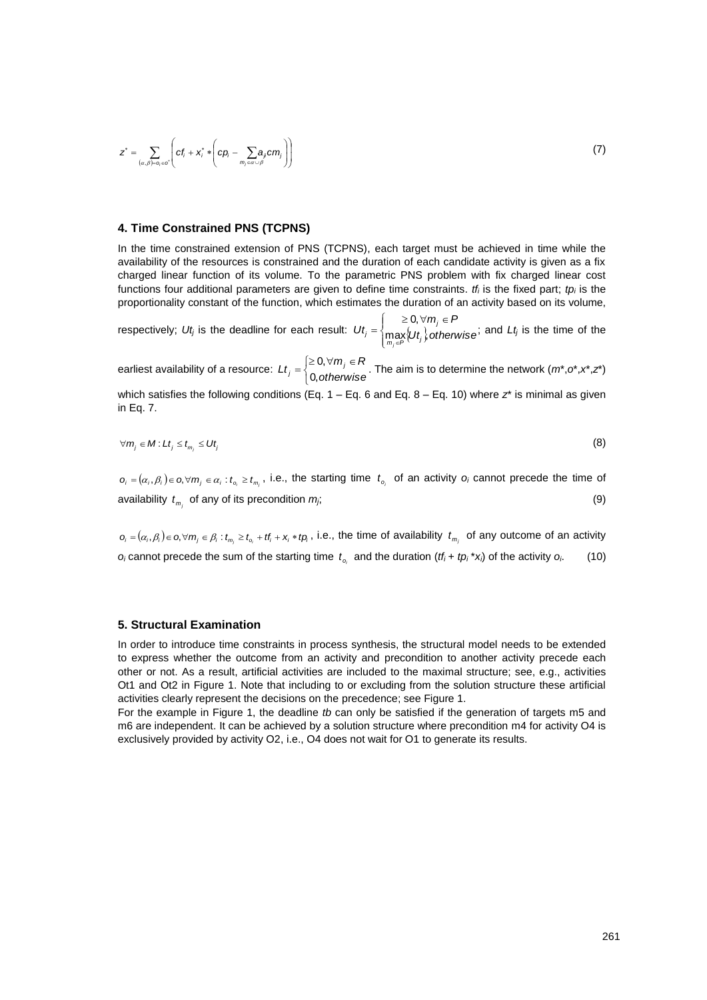$$
z^* = \sum_{(\alpha,\beta)=o_j \in \mathcal{O}^*} \left( cf_i + x_i^* * \left( cp_i - \sum_{m_j \in \alpha \cup \beta} a_j cm_j \right) \right)
$$
(7)

# **4. Time Constrained PNS (TCPNS)**

In the time constrained extension of PNS (TCPNS), each target must be achieved in time while the availability of the resources is constrained and the duration of each candidate activity is given as a fix charged linear function of its volume. To the parametric PNS problem with fix charged linear cost functions four additional parameters are given to define time constraints. *tf<sup>i</sup>* is the fixed part; *tp<sup>i</sup>* is the proportionality constant of the function, which estimates the duration of an activity based on its volume,

respectively;  $Ut_j$  is the deadline for each result:  $Ut_j = \left\{\max_{m_j \in P} \{Ut_j\},\right\}$  $\left\{ \right.$  $\begin{cases} &\geq 0, \forall m_i \in \end{cases}$ = *Ut otherwise*  $m_i \in P$ *Ut*  $\sum_{m_i \in P}$   $\cup$   $\sum_{i=1}^{n}$ *j j*  $\max_{m_i \in P} \{U_t\}$ 0, ; and *Lt<sup>j</sup>* is the time of the

earliest availability of a resource:  $=\begin{cases} \geq 0, \forall\, m_j\in R\ 0, \text{otherwise} \end{cases}$  $Lt_j = \begin{cases} \geq 0, \forall m_j \in R \\ 0, \text{otherwise} \end{cases}$  $0, \forall m_j \in R$ <br> $\ldots$  The aim is to determine the network  $(m^*, o^*, x^*, z^*)$ which satisfies the following conditions (Eq.  $1 - Eq. 6$  and Eq.  $8 - Eq. 10$ ) where  $z^*$  is minimal as given in Eq. 7.

$$
\forall m_j \in M : L t_j \leq t_{m_i} \leq U t_j \tag{8}
$$

 $o_i = (\alpha_i, \beta_i) \in o, \forall m_j \in \alpha_i : t_{o_i} \ge t_{m_j}$ , i.e., the starting time  $t_{o_i}$  of an activity  $o_i$  cannot precede the time of availability  $t_{m_i}$  of any of its precondition  $m_j$ ; (9)

 $o_i=(\alpha_i,\beta_i)\in o, \forall m_j\in\beta_i:t_{m_j}\ge t_{o_i}+tf_i+x_i*fp_i$ , i.e., the time of availability  $t_{m_j}$  of any outcome of an activity  $o_i$  cannot precede the sum of the starting time  $t_{o_i}$  and the duration  $(t_i + tp_i * x_i)$  of the activity  $o_i$ . (10)

#### **5. Structural Examination**

In order to introduce time constraints in process synthesis, the structural model needs to be extended to express whether the outcome from an activity and precondition to another activity precede each other or not. As a result, artificial activities are included to the maximal structure; see, e.g., activities Ot1 and Ot2 in Figure 1. Note that including to or excluding from the solution structure these artificial activities clearly represent the decisions on the precedence; see Figure 1.

For the example in Figure 1, the deadline *tb* can only be satisfied if the generation of targets m5 and m6 are independent. It can be achieved by a solution structure where precondition m4 for activity O4 is exclusively provided by activity O2, i.e., O4 does not wait for O1 to generate its results.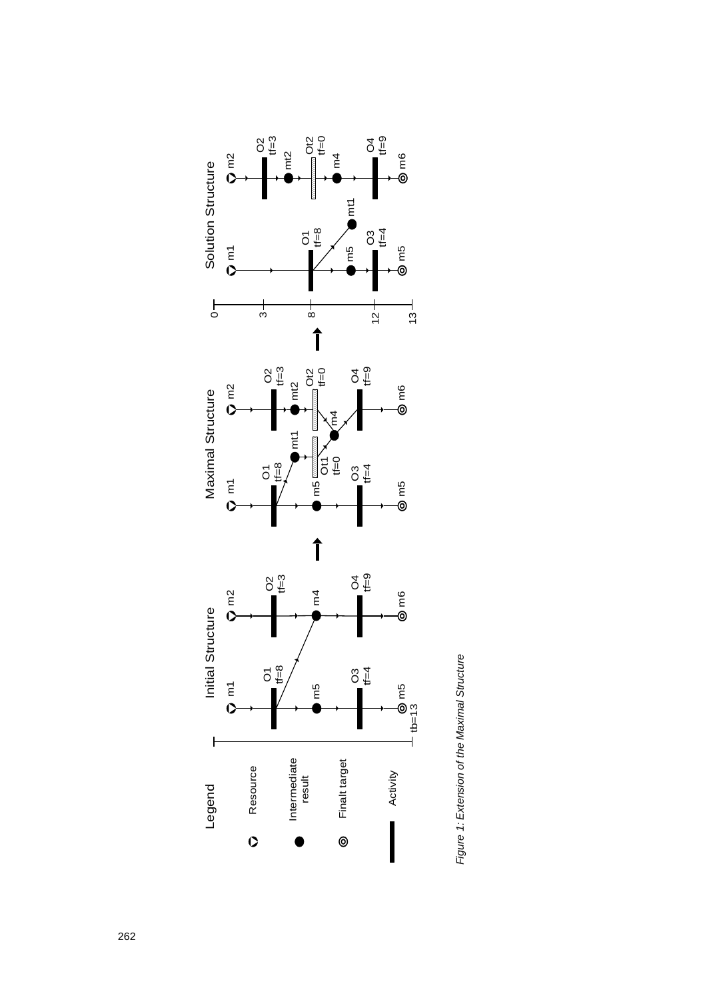

Figure 1: Extension of the Maximal Structure *Figure 1: Extension of the Maximal Structure*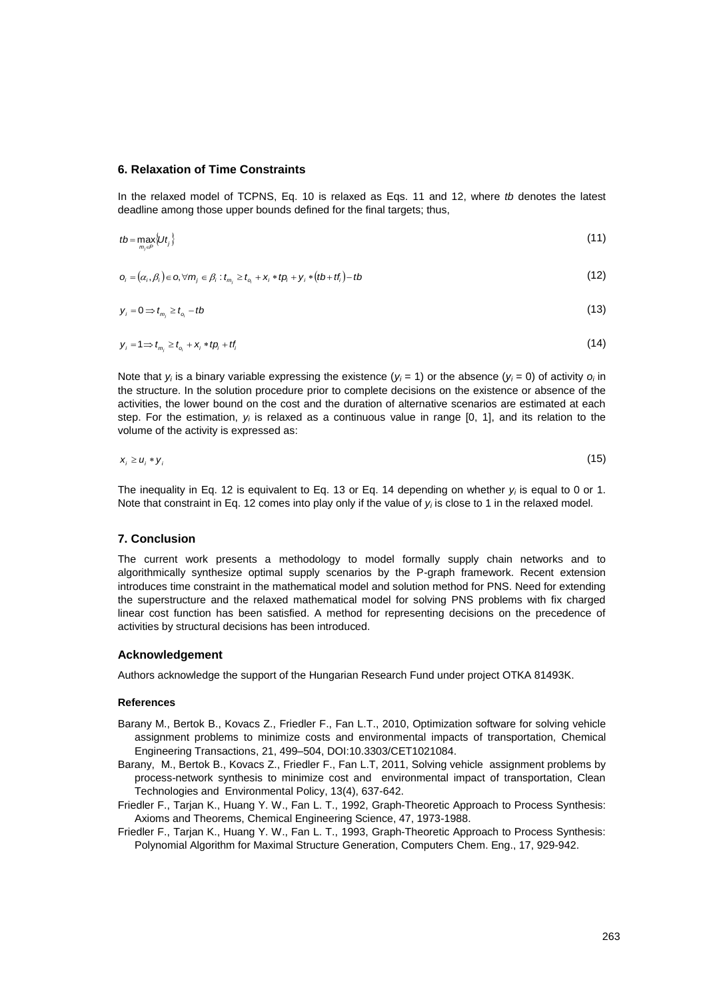#### **6. Relaxation of Time Constraints**

In the relaxed model of TCPNS, Eq. 10 is relaxed as Eqs. 11 and 12, where *tb* denotes the latest deadline among those upper bounds defined for the final targets; thus,

$$
tb = \max_{m_j \in P} \{ Ut_j \} \tag{11}
$$

$$
\mathbf{o}_{i} = (\alpha_{i}, \beta_{i}) \in \mathbf{o}, \forall m_{j} \in \beta_{i} : t_{m_{j}} \geq t_{o_{i}} + \mathbf{x}_{i} * t\mathbf{o}_{i} + \mathbf{y}_{i} * (tb + tf_{i}) - tb
$$
\n
$$
\tag{12}
$$

$$
y_i = 0 \Rightarrow t_{m_i} \ge t_{o_i} - tb \tag{13}
$$

$$
y_i = 1 \Rightarrow t_{m_j} \ge t_{o_i} + x_i * t p_i + t f_i \tag{14}
$$

Note that  $y_i$  is a binary variable expressing the existence  $(y_i = 1)$  or the absence  $(y_i = 0)$  of activity  $o_i$  in the structure. In the solution procedure prior to complete decisions on the existence or absence of the activities, the lower bound on the cost and the duration of alternative scenarios are estimated at each step. For the estimation, *y<sup>i</sup>* is relaxed as a continuous value in range [0, 1], and its relation to the volume of the activity is expressed as:

$$
x_i \ge u_i * y_i \tag{15}
$$

The inequality in Eq. 12 is equivalent to Eq. 13 or Eq. 14 depending on whether *y<sup>i</sup>* is equal to 0 or 1. Note that constraint in Eq. 12 comes into play only if the value of *y<sup>i</sup>* is close to 1 in the relaxed model.

### **7. Conclusion**

The current work presents a methodology to model formally supply chain networks and to algorithmically synthesize optimal supply scenarios by the P-graph framework. Recent extension introduces time constraint in the mathematical model and solution method for PNS. Need for extending the superstructure and the relaxed mathematical model for solving PNS problems with fix charged linear cost function has been satisfied. A method for representing decisions on the precedence of activities by structural decisions has been introduced.

#### **Acknowledgement**

Authors acknowledge the support of the Hungarian Research Fund under project OTKA 81493K.

#### **References**

- Barany M., Bertok B., Kovacs Z., Friedler F., Fan L.T., 2010, Optimization software for solving vehicle assignment problems to minimize costs and environmental impacts of transportation, Chemical Engineering Transactions, 21, 499–504, DOI:10.3303/CET1021084.
- Barany, M., Bertok B., Kovacs Z., Friedler F., Fan L.T, 2011, Solving vehicle assignment problems by process-network synthesis to minimize cost and environmental impact of transportation, Clean Technologies and Environmental Policy, 13(4), 637-642.
- Friedler F., Tarjan K., Huang Y. W., Fan L. T., 1992, Graph-Theoretic Approach to Process Synthesis: Axioms and Theorems, Chemical Engineering Science, 47, 1973-1988.
- Friedler F., Tarjan K., Huang Y. W., Fan L. T., 1993, Graph-Theoretic Approach to Process Synthesis: Polynomial Algorithm for Maximal Structure Generation, Computers Chem. Eng., 17, 929-942.

 $(15)$